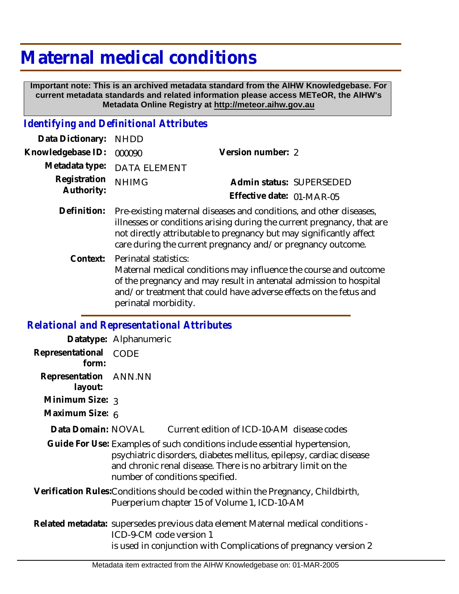## **Maternal medical conditions**

 **Important note: This is an archived metadata standard from the AIHW Knowledgebase. For current metadata standards and related information please access METeOR, the AIHW's Metadata Online Registry at http://meteor.aihw.gov.au**

## *Identifying and Definitional Attributes*

| Data Dictionary: NHDD            |                                                                                |                           |  |
|----------------------------------|--------------------------------------------------------------------------------|---------------------------|--|
| Knowledgebase ID: 000090         |                                                                                | Version number: 2         |  |
|                                  | Metadata type: DATA ELEMENT                                                    |                           |  |
| Registration NHIMG<br>Authority: |                                                                                | Admin status: SUPERSEDED  |  |
|                                  |                                                                                | Effective date: 01-MAR-05 |  |
|                                  | Definition: Pre-existing maternal diseases and conditions, and other diseases, |                           |  |

- illnesses or conditions arising during the current pregnancy, that are not directly attributable to pregnancy but may significantly affect care during the current pregnancy and/or pregnancy outcome.
	- Context: Perinatal statistics: Maternal medical conditions may influence the course and outcome of the pregnancy and may result in antenatal admission to hospital and/or treatment that could have adverse effects on the fetus and perinatal morbidity.

## *Relational and Representational Attributes*

|                                                                                                                                                                                                                                                       | Datatype: Alphanumeric  |                                                                                                                                                      |  |
|-------------------------------------------------------------------------------------------------------------------------------------------------------------------------------------------------------------------------------------------------------|-------------------------|------------------------------------------------------------------------------------------------------------------------------------------------------|--|
| Representational<br>form:                                                                                                                                                                                                                             | <b>CODE</b>             |                                                                                                                                                      |  |
| Representation ANN.NN<br>layout:                                                                                                                                                                                                                      |                         |                                                                                                                                                      |  |
| Minimum Size: 3                                                                                                                                                                                                                                       |                         |                                                                                                                                                      |  |
| Maximum Size: 6                                                                                                                                                                                                                                       |                         |                                                                                                                                                      |  |
| Data Domain: NOVAL                                                                                                                                                                                                                                    |                         | Current edition of ICD-10-AM disease codes                                                                                                           |  |
| Guide For Use: Examples of such conditions include essential hypertension,<br>psychiatric disorders, diabetes mellitus, epilepsy, cardiac disease<br>and chronic renal disease. There is no arbitrary limit on the<br>number of conditions specified. |                         |                                                                                                                                                      |  |
| Verification Rules: Conditions should be coded within the Pregnancy, Childbirth,<br>Puerperium chapter 15 of Volume 1, ICD-10-AM                                                                                                                      |                         |                                                                                                                                                      |  |
|                                                                                                                                                                                                                                                       | ICD-9-CM code version 1 | Related metadata: supersedes previous data element Maternal medical conditions -<br>is used in conjunction with Complications of pregnancy version 2 |  |